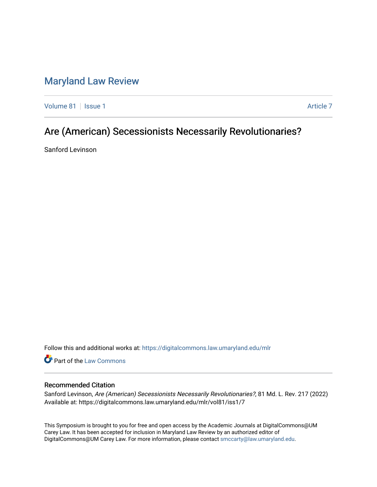# [Maryland Law Review](https://digitalcommons.law.umaryland.edu/mlr)

[Volume 81](https://digitalcommons.law.umaryland.edu/mlr/vol81) | [Issue 1](https://digitalcommons.law.umaryland.edu/mlr/vol81/iss1) [Article 7](https://digitalcommons.law.umaryland.edu/mlr/vol81/iss1/7) Article 7 Article 7 Article 7 Article 7 Article 7 Article 7

# Are (American) Secessionists Necessarily Revolutionaries?

Sanford Levinson

Follow this and additional works at: [https://digitalcommons.law.umaryland.edu/mlr](https://digitalcommons.law.umaryland.edu/mlr?utm_source=digitalcommons.law.umaryland.edu%2Fmlr%2Fvol81%2Fiss1%2F7&utm_medium=PDF&utm_campaign=PDFCoverPages)

Part of the [Law Commons](http://network.bepress.com/hgg/discipline/578?utm_source=digitalcommons.law.umaryland.edu%2Fmlr%2Fvol81%2Fiss1%2F7&utm_medium=PDF&utm_campaign=PDFCoverPages)

## Recommended Citation

Sanford Levinson, Are (American) Secessionists Necessarily Revolutionaries?, 81 Md. L. Rev. 217 (2022) Available at: https://digitalcommons.law.umaryland.edu/mlr/vol81/iss1/7

This Symposium is brought to you for free and open access by the Academic Journals at DigitalCommons@UM Carey Law. It has been accepted for inclusion in Maryland Law Review by an authorized editor of DigitalCommons@UM Carey Law. For more information, please contact [smccarty@law.umaryland.edu.](mailto:smccarty@law.umaryland.edu)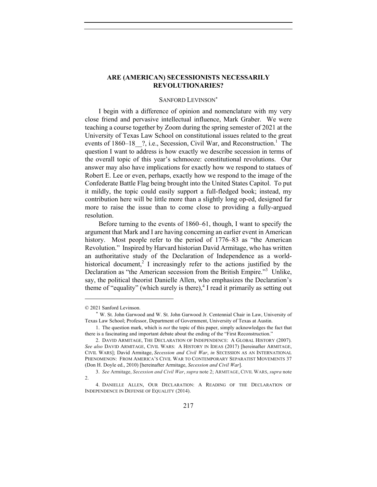## **ARE (AMERICAN) SECESSIONISTS NECESSARILY REVOLUTIONARIES?**

#### SANFORD LEVINSON\*

I begin with a difference of opinion and nomenclature with my very close friend and pervasive intellectual influence, Mark Graber. We were teaching a course together by Zoom during the spring semester of 2021 at the University of Texas Law School on constitutional issues related to the great events of 1860–18 ?, i.e., Secession, Civil War, and Reconstruction.<sup>1</sup> The question I want to address is how exactly we describe secession in terms of the overall topic of this year's schmooze: constitutional revolutions. Our answer may also have implications for exactly how we respond to statues of Robert E. Lee or even, perhaps, exactly how we respond to the image of the Confederate Battle Flag being brought into the United States Capitol. To put it mildly, the topic could easily support a full-fledged book; instead, my contribution here will be little more than a slightly long op-ed, designed far more to raise the issue than to come close to providing a fully-argued resolution.

Before turning to the events of 1860–61, though, I want to specify the argument that Mark and I are having concerning an earlier event in American history. Most people refer to the period of 1776–83 as "the American Revolution." Inspired by Harvard historian David Armitage, who has written an authoritative study of the Declaration of Independence as a worldhistorical document,<sup>2</sup> I increasingly refer to the actions justified by the Declaration as "the American secession from the British Empire."<sup>3</sup> Unlike, say, the political theorist Danielle Allen, who emphasizes the Declaration's theme of "equality" (which surely is there),  $4$  I read it primarily as setting out

<sup>© 2021</sup> Sanford Levinson.

<sup>\*</sup> W. St. John Garwood and W. St. John Garwood Jr. Centennial Chair in Law, University of Texas Law School; Professor, Department of Government, University of Texas at Austin.

<sup>1.</sup> The question mark, which is *not* the topic of this paper, simply acknowledges the fact that there is a fascinating and important debate about the ending of the "First Reconstruction."

<sup>2.</sup> DAVID ARMITAGE, THE DECLARATION OF INDEPENDENCE: A GLOBAL HISTORY (2007). *See also* DAVID ARMITAGE, CIVIL WARS: A HISTORY IN IDEAS (2017) [hereinafter ARMITAGE, CIVIL WARS]; David Armitage, *Secession and Civil War*, *in* SECESSION AS AN INTERNATIONAL PHENOMENON: FROM AMERICA'S CIVIL WAR TO CONTEMPORARY SEPARATIST MOVEMENTS 37 (Don H. Doyle ed., 2010) [hereinafter Armitage, *Secession and Civil War*].

<sup>3.</sup> *See* Armitage, *Secession and Civil War*, *supra* note 2; ARMITAGE, CIVIL WARS, *supra* note  $\mathfrak{D}$ 

<sup>4.</sup> DANIELLE ALLEN, OUR DECLARATION: A READING OF THE DECLARATION OF INDEPENDENCE IN DEFENSE OF EQUALITY (2014).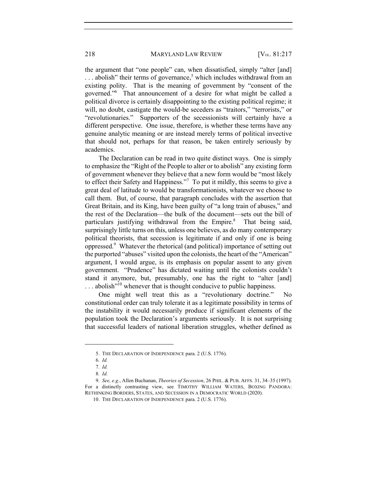the argument that "one people" can, when dissatisfied, simply "alter [and]  $\dots$  abolish" their terms of governance,<sup>5</sup> which includes withdrawal from an existing polity. That is the meaning of government by "consent of the governed."6 That announcement of a desire for what might be called a political divorce is certainly disappointing to the existing political regime; it will, no doubt, castigate the would-be seceders as "traitors," "terrorists," or "revolutionaries." Supporters of the secessionists will certainly have a different perspective. One issue, therefore, is whether these terms have any genuine analytic meaning or are instead merely terms of political invective that should not, perhaps for that reason, be taken entirely seriously by academics.

The Declaration can be read in two quite distinct ways. One is simply to emphasize the "Right of the People to alter or to abolish" any existing form of government whenever they believe that a new form would be "most likely to effect their Safety and Happiness."<sup>7</sup> To put it mildly, this seems to give a great deal of latitude to would be transformationists, whatever we choose to call them. But, of course, that paragraph concludes with the assertion that Great Britain, and its King, have been guilty of "a long train of abuses," and the rest of the Declaration—the bulk of the document—sets out the bill of particulars justifying withdrawal from the Empire.<sup>8</sup> That being said, surprisingly little turns on this, unless one believes, as do many contemporary political theorists, that secession is legitimate if and only if one is being oppressed.<sup>9</sup> Whatever the rhetorical (and political) importance of setting out the purported "abuses" visited upon the colonists, the heart of the "American" argument, I would argue, is its emphasis on popular assent to any given government. "Prudence" has dictated waiting until the colonists couldn't stand it anymore, but, presumably, one has the right to "alter [and]  $\dots$  abolish<sup> $10$ </sup> whenever that is thought conducive to public happiness.

One might well treat this as a "revolutionary doctrine." No constitutional order can truly tolerate it as a legitimate possibility in terms of the instability it would necessarily produce if significant elements of the population took the Declaration's arguments seriously. It is not surprising that successful leaders of national liberation struggles, whether defined as

<sup>5.</sup> THE DECLARATION OF INDEPENDENCE para. 2 (U.S. 1776).

<sup>6</sup>*. Id.*

<sup>7</sup>*. Id.*

<sup>8</sup>*. Id.*

<sup>9</sup>*. See, e.g.*, Allen Buchanan, *Theories of Secession*, 26 PHIL. & PUB. AFFS. 31, 34–35 (1997). For a distinctly contrasting view, see TIMOTHY WILLIAM WATERS, BOXING PANDORA: RETHINKING BORDERS, STATES, AND SECESSION IN A DEMOCRATIC WORLD (2020).

<sup>10.</sup> THE DECLARATION OF INDEPENDENCE para. 2 (U.S. 1776).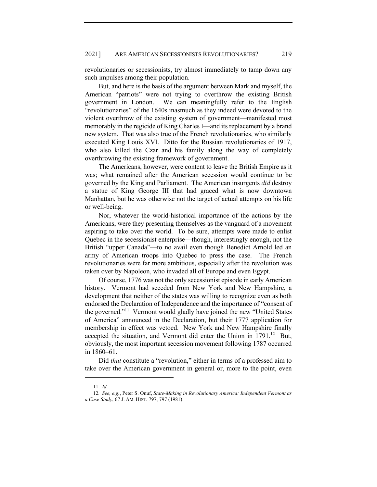revolutionaries or secessionists, try almost immediately to tamp down any such impulses among their population.

But, and here is the basis of the argument between Mark and myself, the American "patriots" were not trying to overthrow the existing British government in London. We can meaningfully refer to the English "revolutionaries" of the 1640s inasmuch as they indeed were devoted to the violent overthrow of the existing system of government—manifested most memorably in the regicide of King Charles I—and its replacement by a brand new system. That was also true of the French revolutionaries, who similarly executed King Louis XVI. Ditto for the Russian revolutionaries of 1917, who also killed the Czar and his family along the way of completely overthrowing the existing framework of government.

The Americans, however, were content to leave the British Empire as it was; what remained after the American secession would continue to be governed by the King and Parliament. The American insurgents *did* destroy a statue of King George III that had graced what is now downtown Manhattan, but he was otherwise not the target of actual attempts on his life or well-being.

Nor, whatever the world-historical importance of the actions by the Americans, were they presenting themselves as the vanguard of a movement aspiring to take over the world. To be sure, attempts were made to enlist Quebec in the secessionist enterprise—though, interestingly enough, not the British "upper Canada"—to no avail even though Benedict Arnold led an army of American troops into Quebec to press the case. The French revolutionaries were far more ambitious, especially after the revolution was taken over by Napoleon, who invaded all of Europe and even Egypt.

Of course, 1776 was not the only secessionist episode in early American history. Vermont had seceded from New York and New Hampshire, a development that neither of the states was willing to recognize even as both endorsed the Declaration of Independence and the importance of "consent of the governed."11 Vermont would gladly have joined the new "United States of America" announced in the Declaration, but their 1777 application for membership in effect was vetoed. New York and New Hampshire finally accepted the situation, and Vermont did enter the Union in 1791.<sup>12</sup> But, obviously, the most important secession movement following 1787 occurred in 1860–61.

Did *that* constitute a "revolution," either in terms of a professed aim to take over the American government in general or, more to the point, even

<sup>11.</sup> *Id.*

<sup>12</sup>*. See, e.g.*, Peter S. Onuf, *State-Making in Revolutionary America: Independent Vermont as a Case Study*, 67 J. AM. HIST. 797, 797 (1981).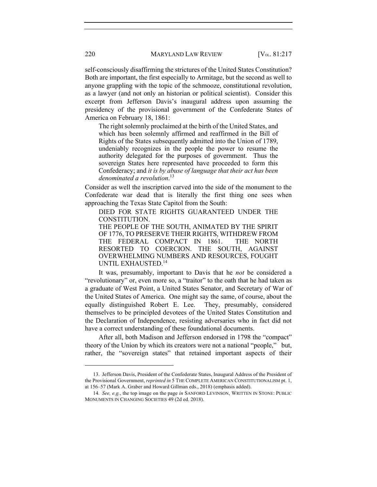self-consciously disaffirming the strictures of the United States Constitution? Both are important, the first especially to Armitage, but the second as well to anyone grappling with the topic of the schmooze, constitutional revolution, as a lawyer (and not only an historian or political scientist). Consider this excerpt from Jefferson Davis's inaugural address upon assuming the presidency of the provisional government of the Confederate States of America on February 18, 1861:

The right solemnly proclaimed at the birth of the United States, and which has been solemnly affirmed and reaffirmed in the Bill of Rights of the States subsequently admitted into the Union of 1789, undeniably recognizes in the people the power to resume the authority delegated for the purposes of government. Thus the sovereign States here represented have proceeded to form this Confederacy; and *it is by abuse of language that their act has been denominated a revolution*. 13

Consider as well the inscription carved into the side of the monument to the Confederate war dead that is literally the first thing one sees when approaching the Texas State Capitol from the South:

DIED FOR STATE RIGHTS GUARANTEED UNDER THE CONSTITUTION. THE PEOPLE OF THE SOUTH, ANIMATED BY THE SPIRIT OF 1776, TO PRESERVE THEIR RIGHTS, WITHDREW FROM THE FEDERAL COMPACT IN 1861. THE NORTH RESORTED TO COERCION. THE SOUTH, AGAINST OVERWHELMING NUMBERS AND RESOURCES, FOUGHT UNTIL EXHAUSTED.14

It was, presumably, important to Davis that he *not* be considered a "revolutionary" or, even more so, a "traitor" to the oath that he had taken as a graduate of West Point, a United States Senator, and Secretary of War of the United States of America. One might say the same, of course, about the equally distinguished Robert E. Lee. They, presumably, considered themselves to be principled devotees of the United States Constitution and the Declaration of Independence, resisting adversaries who in fact did not have a correct understanding of these foundational documents.

After all, both Madison and Jefferson endorsed in 1798 the "compact" theory of the Union by which its creators were not a national "people," but, rather, the "sovereign states" that retained important aspects of their

<sup>13.</sup> Jefferson Davis, President of the Confederate States, Inaugural Address of the President of the Provisional Government, *reprinted in* 5 THE COMPLETE AMERICAN CONSTITUTIONALISM pt. 1, at 156–57 (Mark A. Graber and Howard Gillman eds., 2018) (emphasis added).

<sup>14</sup>*. See, e.g.*, the top image on the page *in* SANFORD LEVINSON, WRITTEN IN STONE: PUBLIC MONUMENTS IN CHANGING SOCIETIES 49 (2d ed. 2018).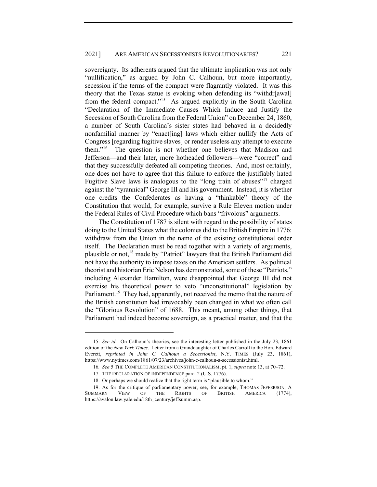sovereignty. Its adherents argued that the ultimate implication was not only "nullification," as argued by John C. Calhoun, but more importantly, secession if the terms of the compact were flagrantly violated. It was this theory that the Texas statue is evoking when defending its "withdr[awal] from the federal compact."<sup>15</sup> As argued explicitly in the South Carolina "Declaration of the Immediate Causes Which Induce and Justify the Secession of South Carolina from the Federal Union" on December 24, 1860, a number of South Carolina's sister states had behaved in a decidedly nonfamilial manner by "enact[ing] laws which either nullify the Acts of Congress [regarding fugitive slaves] or render useless any attempt to execute them."16 The question is not whether one believes that Madison and Jefferson—and their later, more hotheaded followers—were "correct" and that they successfully defeated all competing theories. And, most certainly, one does not have to agree that this failure to enforce the justifiably hated Fugitive Slave laws is analogous to the "long train of abuses"<sup>17</sup> charged against the "tyrannical" George III and his government. Instead, it is whether one credits the Confederates as having a "thinkable" theory of the Constitution that would, for example, survive a Rule Eleven motion under the Federal Rules of Civil Procedure which bans "frivolous" arguments.

The Constitution of 1787 is silent with regard to the possibility of states doing to the United States what the colonies did to the British Empire in 1776: withdraw from the Union in the name of the existing constitutional order itself. The Declaration must be read together with a variety of arguments, plausible or not,18 made by "Patriot" lawyers that the British Parliament did not have the authority to impose taxes on the American settlers. As political theorist and historian Eric Nelson has demonstrated, some of these "Patriots," including Alexander Hamilton, were disappointed that George III did not exercise his theoretical power to veto "unconstitutional" legislation by Parliament.<sup>19</sup> They had, apparently, not received the memo that the nature of the British constitution had irrevocably been changed in what we often call the "Glorious Revolution" of 1688. This meant, among other things, that Parliament had indeed become sovereign, as a practical matter, and that the

<sup>15.</sup> *See id.* On Calhoun's theories, see the interesting letter published in the July 23, 1861 edition of the *New York Times*. Letter from a Granddaughter of Charles Carroll to the Hon. Edward Everett, *reprinted in John C. Calhoun a Secessionist*, N.Y. TIMES (July 23, 1861), https://www.nytimes.com/1861/07/23/archives/john-c-calhoun-a-secessionist.html.

<sup>16</sup>*. See* 5 THE COMPLETE AMERICAN CONSTITUTIONALISM, pt. 1, *supra* note 13, at 70–72.

<sup>17.</sup> THE DECLARATION OF INDEPENDENCE para. 2 (U.S. 1776).

<sup>18.</sup> Or perhaps we should realize that the right term is "plausible to whom."

<sup>19.</sup> As for the critique of parliamentary power, see, for example, THOMAS JEFFERSON, A SUMMARY VIEW OF THE RIGHTS OF BRITISH AMERICA (1774), https://avalon.law.yale.edu/18th\_century/jeffsumm.asp.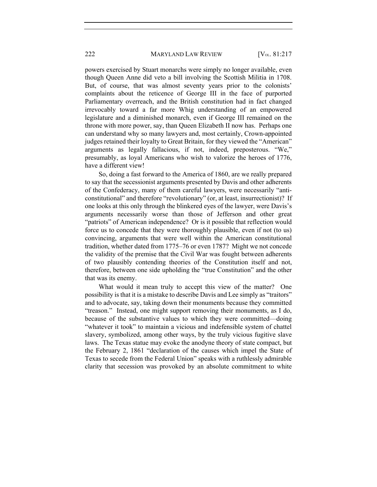#### 222 MARYLAND LAW REVIEW [V<sub>OL.</sub> 81:217

powers exercised by Stuart monarchs were simply no longer available, even though Queen Anne did veto a bill involving the Scottish Militia in 1708. But, of course, that was almost seventy years prior to the colonists' complaints about the reticence of George III in the face of purported Parliamentary overreach, and the British constitution had in fact changed irrevocably toward a far more Whig understanding of an empowered legislature and a diminished monarch, even if George III remained on the throne with more power, say, than Queen Elizabeth II now has. Perhaps one can understand why so many lawyers and, most certainly, Crown-appointed judges retained their loyalty to Great Britain, for they viewed the "American" arguments as legally fallacious, if not, indeed, preposterous. "We," presumably, as loyal Americans who wish to valorize the heroes of 1776, have a different view!

So, doing a fast forward to the America of 1860, are we really prepared to say that the secessionist arguments presented by Davis and other adherents of the Confederacy, many of them careful lawyers, were necessarily "anticonstitutional" and therefore "revolutionary" (or, at least, insurrectionist)? If one looks at this only through the blinkered eyes of the lawyer, were Davis's arguments necessarily worse than those of Jefferson and other great "patriots" of American independence? Or is it possible that reflection would force us to concede that they were thoroughly plausible, even if not (to us) convincing, arguments that were well within the American constitutional tradition, whether dated from 1775–76 or even 1787? Might we not concede the validity of the premise that the Civil War was fought between adherents of two plausibly contending theories of the Constitution itself and not, therefore, between one side upholding the "true Constitution" and the other that was its enemy.

What would it mean truly to accept this view of the matter? One possibility is that it is a mistake to describe Davis and Lee simply as "traitors" and to advocate, say, taking down their monuments because they committed "treason." Instead, one might support removing their monuments, as I do, because of the substantive values to which they were committed—doing "whatever it took" to maintain a vicious and indefensible system of chattel slavery, symbolized, among other ways, by the truly vicious fugitive slave laws. The Texas statue may evoke the anodyne theory of state compact, but the February 2, 1861 "declaration of the causes which impel the State of Texas to secede from the Federal Union" speaks with a ruthlessly admirable clarity that secession was provoked by an absolute commitment to white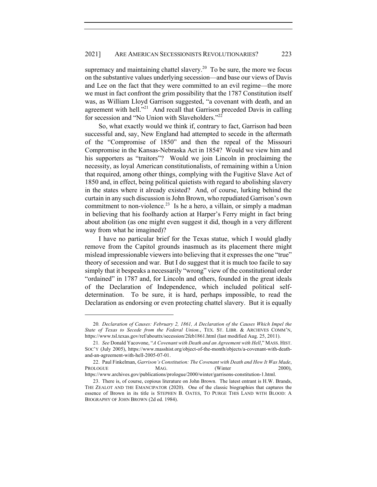supremacy and maintaining chattel slavery.<sup>20</sup> To be sure, the more we focus on the substantive values underlying secession—and base our views of Davis and Lee on the fact that they were committed to an evil regime—the more we must in fact confront the grim possibility that the 1787 Constitution itself was, as William Lloyd Garrison suggested, "a covenant with death, and an agreement with hell."<sup>21</sup> And recall that Garrison preceded Davis in calling for secession and "No Union with Slaveholders."<sup>22</sup>

So, what exactly would we think if, contrary to fact, Garrison had been successful and, say, New England had attempted to secede in the aftermath of the "Compromise of 1850" and then the repeal of the Missouri Compromise in the Kansas-Nebraska Act in 1854? Would we view him and his supporters as "traitors"? Would we join Lincoln in proclaiming the necessity, as loyal American constitutionalists, of remaining within a Union that required, among other things, complying with the Fugitive Slave Act of 1850 and, in effect, being political quietists with regard to abolishing slavery in the states where it already existed? And, of course, lurking behind the curtain in any such discussion is John Brown, who repudiated Garrison's own commitment to non-violence.<sup>23</sup> Is he a hero, a villain, or simply a madman in believing that his foolhardy action at Harper's Ferry might in fact bring about abolition (as one might even suggest it did, though in a very different way from what he imagined)?

I have no particular brief for the Texas statue, which I would gladly remove from the Capitol grounds inasmuch as its placement there might mislead impressionable viewers into believing that it expresses the one "true" theory of secession and war. But I do suggest that it is much too facile to say simply that it bespeaks a necessarily "wrong" view of the constitutional order "ordained" in 1787 and, for Lincoln and others, founded in the great ideals of the Declaration of Independence, which included political selfdetermination. To be sure, it is hard, perhaps impossible, to read the Declaration as endorsing or even protecting chattel slavery. But it is equally

<sup>20</sup>*. Declaration of Causes: February 2, 1861, A Declaration of the Causes Which Impel the State of Texas to Secede from the Federal Union.*, TEX. ST. LIBR. & ARCHIVES COMM'N, https://www.tsl.texas.gov/ref/abouttx/secession/2feb1861.html (last modified Aug. 25, 2011).

<sup>21</sup>*. See* Donald Yacovone, "*A Covenant with Death and an Agreement with Hell*," MASS. HIST. SOC'Y (July 2005), https://www.masshist.org/object-of-the-month/objects/a-covenant-with-deathand-an-agreement-with-hell-2005-07-01.

<sup>22.</sup> Paul Finkelman, *Garrison's Constitution: The Covenant with Death and How It Was Made*, PROLOGUE MAG. (Winter 2000), https://www.archives.gov/publications/prologue/2000/winter/garrisons-constitution-1.html.

<sup>23.</sup> There is, of course, copious literature on John Brown. The latest entrant is H.W. Brands, THE ZEALOT AND THE EMANCIPATOR (2020). One of the classic biographies that captures the essence of Brown in its title is STEPHEN B. OATES, TO PURGE THIS LAND WITH BLOOD: A BIOGRAPHY OF JOHN BROWN (2d ed. 1984).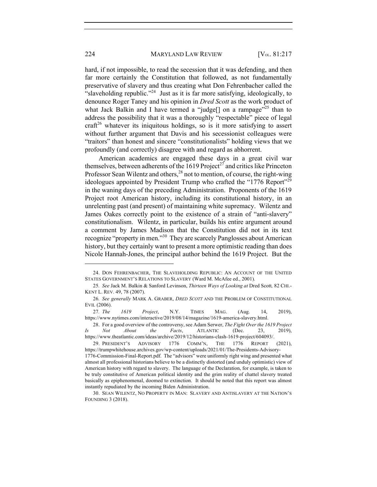hard, if not impossible, to read the secession that it was defending, and then far more certainly the Constitution that followed, as not fundamentally preservative of slavery and thus creating what Don Fehrenbacher called the "slaveholding republic."<sup>24</sup> Just as it is far more satisfying, ideologically, to denounce Roger Taney and his opinion in *Dred Scott* as the work product of what Jack Balkin and I have termed a "judge<sup>[]</sup> on a rampage"<sup>25</sup> than to address the possibility that it was a thoroughly "respectable" piece of legal craft<sup>26</sup> whatever its iniquitous holdings, so is it more satisfying to assert without further argument that Davis and his secessionist colleagues were "traitors" than honest and sincere "constitutionalists" holding views that we profoundly (and correctly) disagree with and regard as abhorrent.

American academics are engaged these days in a great civil war themselves, between adherents of the 1619 Project<sup>27</sup> and critics like Princeton Professor Sean Wilentz and others,  $^{28}$  not to mention, of course, the right-wing ideologues appointed by President Trump who crafted the "1776 Report"<sup>29</sup> in the waning days of the preceding Administration. Proponents of the 1619 Project root American history, including its constitutional history, in an unrelenting past (and present) of maintaining white supremacy. Wilentz and James Oakes correctly point to the existence of a strain of "anti-slavery" constitutionalism. Wilentz, in particular, builds his entire argument around a comment by James Madison that the Constitution did not in its text recognize "property in men."30 They are scarcely Panglosses about American history, but they certainly want to present a more optimistic reading than does Nicole Hannah-Jones, the principal author behind the 1619 Project. But the

27*. The 1619 Project*, N.Y. TIMES MAG. (Aug. 14, 2019), https://www.nytimes.com/interactive/2019/08/14/magazine/1619-america-slavery.html.

28. For a good overview of the controversy, see Adam Serwer, *The Fight Over the 1619 Project Is Not About the Facts*, ATLANTIC (Dec. 23, 2019), https://www.theatlantic.com/ideas/archive/2019/12/historians-clash-1619-project/604093/.

instantly repudiated by the incoming Biden Administration.

<sup>24.</sup> DON FEHRENBACHER, THE SLAVEHOLDING REPUBLIC: AN ACCOUNT OF THE UNITED STATES GOVERNMENT'S RELATIONS TO SLAVERY (Ward M. McAfee ed., 2001).

<sup>25</sup>*. See* Jack M. Balkin & Sanford Levinson, *Thirteen Ways of Looking at* Dred Scott*,* 82 CHI.- KENT L. REV. 49, 78 (2007).

<sup>26</sup>*. See generally* MARK A. GRABER, *DRED SCOTT* AND THE PROBLEM OF CONSTITUTIONAL EVIL (2006).

<sup>29.</sup> PRESIDENT'S ADVISORY 1776 COMM'N, THE 1776 REPORT (2021), https://trumpwhitehouse.archives.gov/wp-content/uploads/2021/01/The-Presidents-Advisory-1776-Commission-Final-Report.pdf. The "advisors" were uniformly right wing and presented what almost all professional historians believe to be a distinctly distorted (and unduly optimistic) view of American history with regard to slavery. The language of the Declaration, for example, is taken to be truly constitutive of American political identity and the grim reality of chattel slavery treated basically as epiphenomenal, doomed to extinction. It should be noted that this report was almost

<sup>30.</sup> SEAN WILENTZ, NO PROPERTY IN MAN: SLAVERY AND ANTISLAVERY AT THE NATION'S FOUNDING 3 (2018).